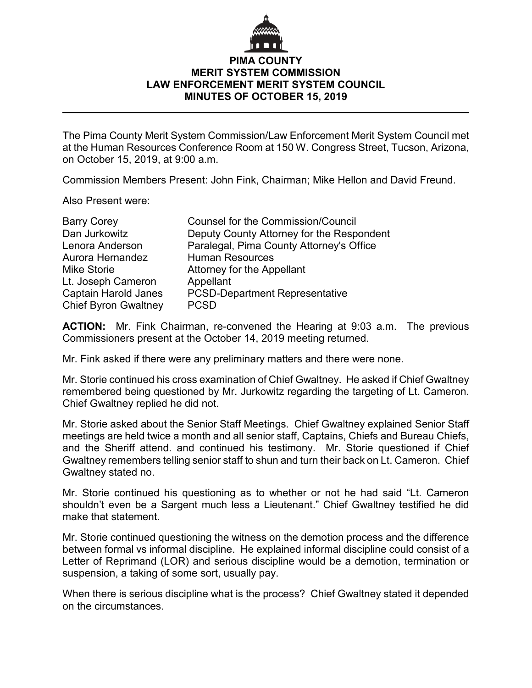## **PIMA COUNTY MERIT SYSTEM COMMISSION LAW ENFORCEMENT MERIT SYSTEM COUNCIL MINUTES OF OCTOBER 15, 2019**

The Pima County Merit System Commission/Law Enforcement Merit System Council met at the Human Resources Conference Room at 150 W. Congress Street, Tucson, Arizona, on October 15, 2019, at 9:00 a.m.

Commission Members Present: John Fink, Chairman; Mike Hellon and David Freund.

Also Present were:

| <b>Barry Corey</b>          | <b>Counsel for the Commission/Council</b> |
|-----------------------------|-------------------------------------------|
| Dan Jurkowitz               | Deputy County Attorney for the Respondent |
| Lenora Anderson             | Paralegal, Pima County Attorney's Office  |
| Aurora Hernandez            | <b>Human Resources</b>                    |
| <b>Mike Storie</b>          | Attorney for the Appellant                |
| Lt. Joseph Cameron          | Appellant                                 |
| <b>Captain Harold Janes</b> | <b>PCSD-Department Representative</b>     |
| <b>Chief Byron Gwaltney</b> | <b>PCSD</b>                               |

**ACTION:** Mr. Fink Chairman, re-convened the Hearing at 9:03 a.m. The previous Commissioners present at the October 14, 2019 meeting returned.

Mr. Fink asked if there were any preliminary matters and there were none.

Mr. Storie continued his cross examination of Chief Gwaltney. He asked if Chief Gwaltney remembered being questioned by Mr. Jurkowitz regarding the targeting of Lt. Cameron. Chief Gwaltney replied he did not.

Mr. Storie asked about the Senior Staff Meetings. Chief Gwaltney explained Senior Staff meetings are held twice a month and all senior staff, Captains, Chiefs and Bureau Chiefs, and the Sheriff attend. and continued his testimony. Mr. Storie questioned if Chief Gwaltney remembers telling senior staff to shun and turn their back on Lt. Cameron. Chief Gwaltney stated no.

Mr. Storie continued his questioning as to whether or not he had said "Lt. Cameron shouldn't even be a Sargent much less a Lieutenant." Chief Gwaltney testified he did make that statement.

Mr. Storie continued questioning the witness on the demotion process and the difference between formal vs informal discipline. He explained informal discipline could consist of a Letter of Reprimand (LOR) and serious discipline would be a demotion, termination or suspension, a taking of some sort, usually pay.

When there is serious discipline what is the process? Chief Gwaltney stated it depended on the circumstances.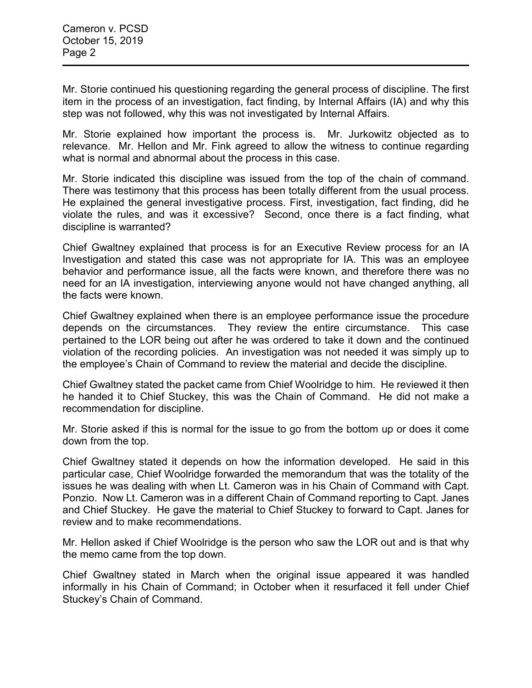Mr. Storie continued his questioning regarding the general process of discipline. The first item in the process of an investigation, fact finding, by Internal Affairs (IA) and why this step was not followed, why this was not investigated by Internal Affairs.

Mr. Storie explained how important the process is. Mr. Jurkowitz objected as to relevance. Mr. Hellon and Mr. Fink agreed to allow the witness to continue regarding what is normal and abnormal about the process in this case.

Mr. Storie indicated this discipline was issued from the top of the chain of command. There was testimony that this process has been totally different from the usual process. He explained the general investigative process. First, investigation, fact finding, did he violate the rules, and was it excessive? Second, once there is a fact finding, what discipline is warranted?

Chief Gwaltney explained that process is for an Executive Review process for an IA Investigation and stated this case was not appropriate for IA. This was an employee behavior and performance issue, all the facts were known, and therefore there was no need for an IA investigation, interviewing anyone would not have changed anything, all the facts were known.

Chief Gwaltney explained when there is an employee performance issue the procedure depends on the circumstances. They review the entire circumstance. This case pertained to the LOR being out after he was ordered to take it down and the continued violation of the recording policies. An investigation was not needed it was simply up to the employee's Chain of Command to review the material and decide the discipline.

Chief Gwaltney stated the packet came from Chief Woolridge to him. He reviewed it then he handed it to Chief Stuckey, this was the Chain of Command. He did not make a recommendation for discipline.

Mr. Storie asked if this is normal for the issue to go from the bottom up or does it come down from the top.

Chief Gwaltney stated it depends on how the information developed. He said in this particular case, Chief Woolridge forwarded the memorandum that was the totality of the issues he was dealing with when Lt. Cameron was in his Chain of Command with Capt. Ponzio. Now Lt. Cameron was in a different Chain of Command reporting to Capt. Janes and Chief Stuckey. He gave the material to Chief Stuckey to forward to Capt. Janes for review and to make recommendations.

Mr. Hellon asked if Chief Woolridge is the person who saw the LOR out and is that why the memo came from the top down.

Chief Gwaltney stated in March when the original issue appeared it was handled informally in his Chain of Command; in October when it resurfaced it fell under Chief Stuckey's Chain of Command.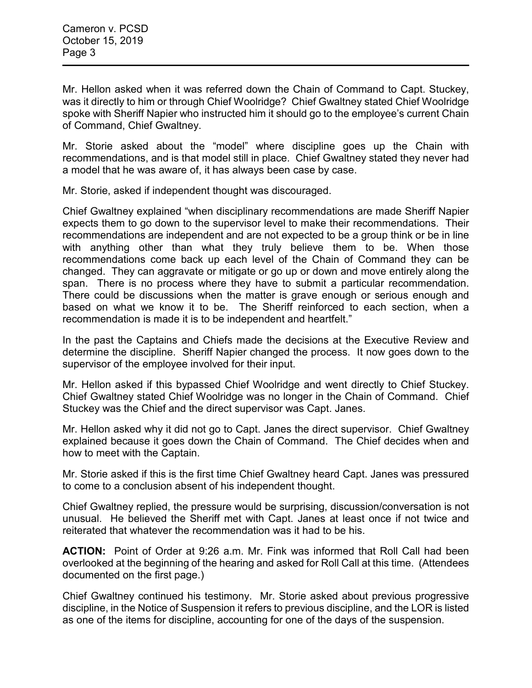Mr. Hellon asked when it was referred down the Chain of Command to Capt. Stuckey, was it directly to him or through Chief Woolridge? Chief Gwaltney stated Chief Woolridge spoke with Sheriff Napier who instructed him it should go to the employee's current Chain of Command, Chief Gwaltney.

Mr. Storie asked about the "model" where discipline goes up the Chain with recommendations, and is that model still in place. Chief Gwaltney stated they never had a model that he was aware of, it has always been case by case.

Mr. Storie, asked if independent thought was discouraged.

Chief Gwaltney explained "when disciplinary recommendations are made Sheriff Napier expects them to go down to the supervisor level to make their recommendations. Their recommendations are independent and are not expected to be a group think or be in line with anything other than what they truly believe them to be. When those recommendations come back up each level of the Chain of Command they can be changed. They can aggravate or mitigate or go up or down and move entirely along the span. There is no process where they have to submit a particular recommendation. There could be discussions when the matter is grave enough or serious enough and based on what we know it to be. The Sheriff reinforced to each section, when a recommendation is made it is to be independent and heartfelt."

In the past the Captains and Chiefs made the decisions at the Executive Review and determine the discipline. Sheriff Napier changed the process. It now goes down to the supervisor of the employee involved for their input.

Mr. Hellon asked if this bypassed Chief Woolridge and went directly to Chief Stuckey. Chief Gwaltney stated Chief Woolridge was no longer in the Chain of Command. Chief Stuckey was the Chief and the direct supervisor was Capt. Janes.

Mr. Hellon asked why it did not go to Capt. Janes the direct supervisor. Chief Gwaltney explained because it goes down the Chain of Command. The Chief decides when and how to meet with the Captain.

Mr. Storie asked if this is the first time Chief Gwaltney heard Capt. Janes was pressured to come to a conclusion absent of his independent thought.

Chief Gwaltney replied, the pressure would be surprising, discussion/conversation is not unusual. He believed the Sheriff met with Capt. Janes at least once if not twice and reiterated that whatever the recommendation was it had to be his.

**ACTION:** Point of Order at 9:26 a.m. Mr. Fink was informed that Roll Call had been overlooked at the beginning of the hearing and asked for Roll Call at this time. (Attendees documented on the first page.)

Chief Gwaltney continued his testimony. Mr. Storie asked about previous progressive discipline, in the Notice of Suspension it refers to previous discipline, and the LOR is listed as one of the items for discipline, accounting for one of the days of the suspension.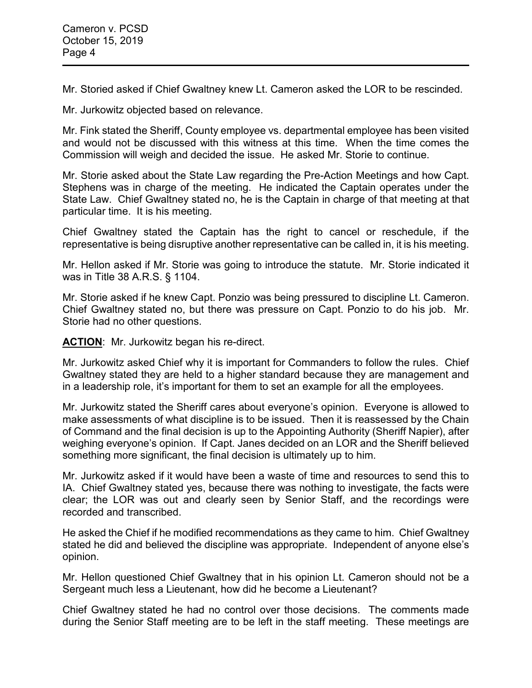Mr. Storied asked if Chief Gwaltney knew Lt. Cameron asked the LOR to be rescinded.

Mr. Jurkowitz objected based on relevance.

Mr. Fink stated the Sheriff, County employee vs. departmental employee has been visited and would not be discussed with this witness at this time. When the time comes the Commission will weigh and decided the issue. He asked Mr. Storie to continue.

Mr. Storie asked about the State Law regarding the Pre-Action Meetings and how Capt. Stephens was in charge of the meeting. He indicated the Captain operates under the State Law. Chief Gwaltney stated no, he is the Captain in charge of that meeting at that particular time. It is his meeting.

Chief Gwaltney stated the Captain has the right to cancel or reschedule, if the representative is being disruptive another representative can be called in, it is his meeting.

Mr. Hellon asked if Mr. Storie was going to introduce the statute. Mr. Storie indicated it was in Title 38 A.R.S. § 1104.

Mr. Storie asked if he knew Capt. Ponzio was being pressured to discipline Lt. Cameron. Chief Gwaltney stated no, but there was pressure on Capt. Ponzio to do his job. Mr. Storie had no other questions.

ACTION: Mr. Jurkowitz began his re-direct.

Mr. Jurkowitz asked Chief why it is important for Commanders to follow the rules. Chief Gwaltney stated they are held to a higher standard because they are management and in a leadership role, it's important for them to set an example for all the employees.

Mr. Jurkowitz stated the Sheriff cares about everyone's opinion. Everyone is allowed to make assessments of what discipline is to be issued. Then it is reassessed by the Chain of Command and the final decision is up to the Appointing Authority (Sheriff Napier), after weighing everyone's opinion. If Capt. Janes decided on an LOR and the Sheriff believed something more significant, the final decision is ultimately up to him.

Mr. Jurkowitz asked if it would have been a waste of time and resources to send this to IA. Chief Gwaltney stated yes, because there was nothing to investigate, the facts were clear; the LOR was out and clearly seen by Senior Staff, and the recordings were recorded and transcribed.

He asked the Chief if he modified recommendations as they came to him. Chief Gwaltney stated he did and believed the discipline was appropriate. Independent of anyone else's opinion.

Mr. Hellon questioned Chief Gwaltney that in his opinion Lt. Cameron should not be a Sergeant much less a Lieutenant, how did he become a Lieutenant?

Chief Gwaltney stated he had no control over those decisions. The comments made during the Senior Staff meeting are to be left in the staff meeting. These meetings are